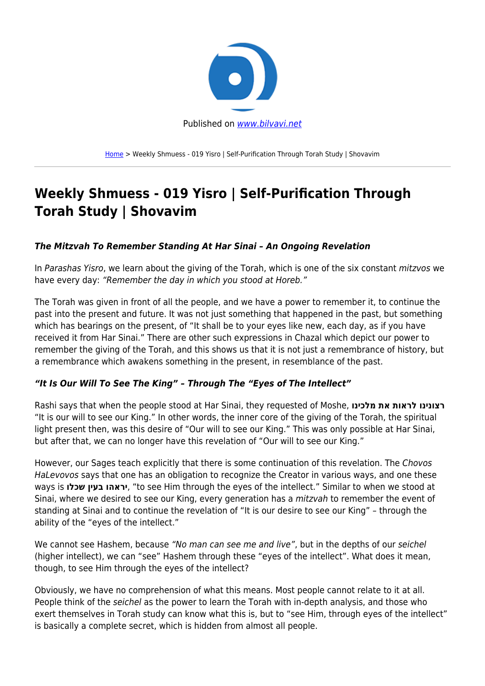

[Home](https://bilvavi.net/) > Weekly Shmuess - 019 Yisro | Self-Purification Through Torah Study | Shovavim

# **Weekly Shmuess - 019 Yisro | Self-Purification Through Torah Study | Shovavim**

## *The Mitzvah To Remember Standing At Har Sinai – An Ongoing Revelation*

In Parashas Yisro, we learn about the giving of the Torah, which is one of the six constant mitzvos we have every day: "Remember the day in which you stood at Horeb."

The Torah was given in front of all the people, and we have a power to remember it, to continue the past into the present and future. It was not just something that happened in the past, but something which has bearings on the present, of "It shall be to your eyes like new, each day, as if you have received it from Har Sinai." There are other such expressions in Chazal which depict our power to remember the giving of the Torah, and this shows us that it is not just a remembrance of history, but a remembrance which awakens something in the present, in resemblance of the past.

## *"It Is Our Will To See The King" – Through The "Eyes of The Intellect"*

Rashi says that when the people stood at Har Sinai, they requested of Moshe, **מלכינו את לראות רצונינו** "It is our will to see our King." In other words, the inner core of the giving of the Torah, the spiritual light present then, was this desire of "Our will to see our King." This was only possible at Har Sinai, but after that, we can no longer have this revelation of "Our will to see our King."

However, our Sages teach explicitly that there is some continuation of this revelation. The Chovos HaLevovos says that one has an obligation to recognize the Creator in various ways, and one these ways is **שכלו בעין יראהו**," to see Him through the eyes of the intellect." Similar to when we stood at Sinai, where we desired to see our King, every generation has a mitzvah to remember the event of standing at Sinai and to continue the revelation of "It is our desire to see our King" – through the ability of the "eyes of the intellect."

We cannot see Hashem, because "No man can see me and live", but in the depths of our seichel (higher intellect), we can "see" Hashem through these "eyes of the intellect". What does it mean, though, to see Him through the eyes of the intellect?

Obviously, we have no comprehension of what this means. Most people cannot relate to it at all. People think of the seichel as the power to learn the Torah with in-depth analysis, and those who exert themselves in Torah study can know what this is, but to "see Him, through eyes of the intellect" is basically a complete secret, which is hidden from almost all people.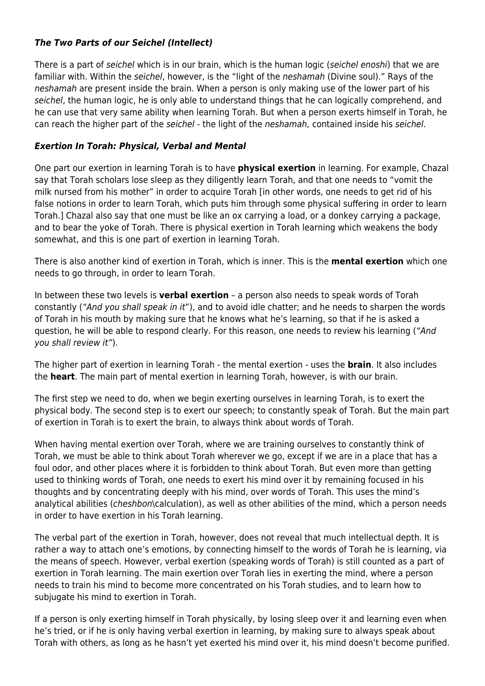## *The Two Parts of our Seichel (Intellect)*

There is a part of seichel which is in our brain, which is the human logic (seichel enoshi) that we are familiar with. Within the seichel, however, is the "light of the neshamah (Divine soul)." Rays of the neshamah are present inside the brain. When a person is only making use of the lower part of his seichel, the human logic, he is only able to understand things that he can logically comprehend, and he can use that very same ability when learning Torah. But when a person exerts himself in Torah, he can reach the higher part of the seichel - the light of the neshamah, contained inside his seichel.

## *Exertion In Torah: Physical, Verbal and Mental*

One part our exertion in learning Torah is to have **physical exertion** in learning. For example, Chazal say that Torah scholars lose sleep as they diligently learn Torah, and that one needs to "vomit the milk nursed from his mother" in order to acquire Torah [in other words, one needs to get rid of his false notions in order to learn Torah, which puts him through some physical suffering in order to learn Torah.] Chazal also say that one must be like an ox carrying a load, or a donkey carrying a package, and to bear the yoke of Torah. There is physical exertion in Torah learning which weakens the body somewhat, and this is one part of exertion in learning Torah.

There is also another kind of exertion in Torah, which is inner. This is the **mental exertion** which one needs to go through, in order to learn Torah.

In between these two levels is **verbal exertion** – a person also needs to speak words of Torah constantly ("And you shall speak in it"), and to avoid idle chatter; and he needs to sharpen the words of Torah in his mouth by making sure that he knows what he's learning, so that if he is asked a question, he will be able to respond clearly. For this reason, one needs to review his learning ("And you shall review it").

The higher part of exertion in learning Torah - the mental exertion - uses the **brain**. It also includes the **heart**. The main part of mental exertion in learning Torah, however, is with our brain.

The first step we need to do, when we begin exerting ourselves in learning Torah, is to exert the physical body. The second step is to exert our speech; to constantly speak of Torah. But the main part of exertion in Torah is to exert the brain, to always think about words of Torah.

When having mental exertion over Torah, where we are training ourselves to constantly think of Torah, we must be able to think about Torah wherever we go, except if we are in a place that has a foul odor, and other places where it is forbidden to think about Torah. But even more than getting used to thinking words of Torah, one needs to exert his mind over it by remaining focused in his thoughts and by concentrating deeply with his mind, over words of Torah. This uses the mind's analytical abilities (cheshbon\calculation), as well as other abilities of the mind, which a person needs in order to have exertion in his Torah learning.

The verbal part of the exertion in Torah, however, does not reveal that much intellectual depth. It is rather a way to attach one's emotions, by connecting himself to the words of Torah he is learning, via the means of speech. However, verbal exertion (speaking words of Torah) is still counted as a part of exertion in Torah learning. The main exertion over Torah lies in exerting the mind, where a person needs to train his mind to become more concentrated on his Torah studies, and to learn how to subjugate his mind to exertion in Torah.

If a person is only exerting himself in Torah physically, by losing sleep over it and learning even when he's tried, or if he is only having verbal exertion in learning, by making sure to always speak about Torah with others, as long as he hasn't yet exerted his mind over it, his mind doesn't become purified.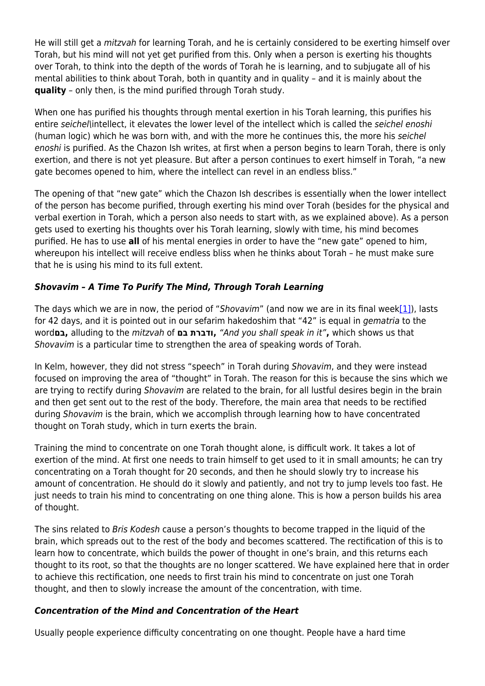He will still get a mitzvah for learning Torah, and he is certainly considered to be exerting himself over Torah, but his mind will not yet get purified from this. Only when a person is exerting his thoughts over Torah, to think into the depth of the words of Torah he is learning, and to subjugate all of his mental abilities to think about Torah, both in quantity and in quality – and it is mainly about the **quality** – only then, is the mind purified through Torah study.

When one has purified his thoughts through mental exertion in his Torah learning, this purifies his entire seichel\intellect, it elevates the lower level of the intellect which is called the seichel enoshi (human logic) which he was born with, and with the more he continues this, the more his seichel enoshi is purified. As the Chazon Ish writes, at first when a person begins to learn Torah, there is only exertion, and there is not yet pleasure. But after a person continues to exert himself in Torah, "a new gate becomes opened to him, where the intellect can revel in an endless bliss."

The opening of that "new gate" which the Chazon Ish describes is essentially when the lower intellect of the person has become purified, through exerting his mind over Torah (besides for the physical and verbal exertion in Torah, which a person also needs to start with, as we explained above). As a person gets used to exerting his thoughts over his Torah learning, slowly with time, his mind becomes purified. He has to use **all** of his mental energies in order to have the "new gate" opened to him, whereupon his intellect will receive endless bliss when he thinks about Torah – he must make sure that he is using his mind to its full extent.

## *Shovavim – A Time To Purify The Mind, Through Torah Learning*

The days which we are in now, the period of "Shovavim" (and now we are in its final wee[k\[1\]](#page--1-0)), lasts for 42 days, and it is pointed out in our sefarim hakedoshim that "42" is equal in gematria to the word**בם,** alluding to the mitzvah of **בם ודברת,**"And you shall speak in it"**,** which shows us that Shovavim is a particular time to strengthen the area of speaking words of Torah.

In Kelm, however, they did not stress "speech" in Torah during Shovavim, and they were instead focused on improving the area of "thought" in Torah. The reason for this is because the sins which we are trying to rectify during Shovavim are related to the brain, for all lustful desires begin in the brain and then get sent out to the rest of the body. Therefore, the main area that needs to be rectified during Shovavim is the brain, which we accomplish through learning how to have concentrated thought on Torah study, which in turn exerts the brain.

Training the mind to concentrate on one Torah thought alone, is difficult work. It takes a lot of exertion of the mind. At first one needs to train himself to get used to it in small amounts; he can try concentrating on a Torah thought for 20 seconds, and then he should slowly try to increase his amount of concentration. He should do it slowly and patiently, and not try to jump levels too fast. He just needs to train his mind to concentrating on one thing alone. This is how a person builds his area of thought.

The sins related to Bris Kodesh cause a person's thoughts to become trapped in the liquid of the brain, which spreads out to the rest of the body and becomes scattered. The rectification of this is to learn how to concentrate, which builds the power of thought in one's brain, and this returns each thought to its root, so that the thoughts are no longer scattered. We have explained here that in order to achieve this rectification, one needs to first train his mind to concentrate on just one Torah thought, and then to slowly increase the amount of the concentration, with time.

## *Concentration of the Mind and Concentration of the Heart*

Usually people experience difficulty concentrating on one thought. People have a hard time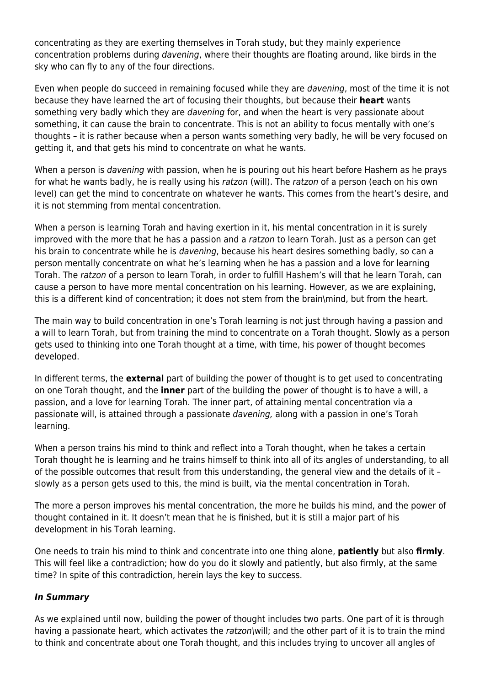concentrating as they are exerting themselves in Torah study, but they mainly experience concentration problems during davening, where their thoughts are floating around, like birds in the sky who can fly to any of the four directions.

Even when people do succeed in remaining focused while they are davening, most of the time it is not because they have learned the art of focusing their thoughts, but because their **heart** wants something very badly which they are *davening* for, and when the heart is very passionate about something, it can cause the brain to concentrate. This is not an ability to focus mentally with one's thoughts – it is rather because when a person wants something very badly, he will be very focused on getting it, and that gets his mind to concentrate on what he wants.

When a person is *davening* with passion, when he is pouring out his heart before Hashem as he prays for what he wants badly, he is really using his ratzon (will). The ratzon of a person (each on his own level) can get the mind to concentrate on whatever he wants. This comes from the heart's desire, and it is not stemming from mental concentration.

When a person is learning Torah and having exertion in it, his mental concentration in it is surely improved with the more that he has a passion and a ratzon to learn Torah. Just as a person can get his brain to concentrate while he is *davening*, because his heart desires something badly, so can a person mentally concentrate on what he's learning when he has a passion and a love for learning Torah. The ratzon of a person to learn Torah, in order to fulfill Hashem's will that he learn Torah, can cause a person to have more mental concentration on his learning. However, as we are explaining, this is a different kind of concentration; it does not stem from the brain\mind, but from the heart.

The main way to build concentration in one's Torah learning is not just through having a passion and a will to learn Torah, but from training the mind to concentrate on a Torah thought. Slowly as a person gets used to thinking into one Torah thought at a time, with time, his power of thought becomes developed.

In different terms, the **external** part of building the power of thought is to get used to concentrating on one Torah thought, and the **inner** part of the building the power of thought is to have a will, a passion, and a love for learning Torah. The inner part, of attaining mental concentration via a passionate will, is attained through a passionate davening, along with a passion in one's Torah learning.

When a person trains his mind to think and reflect into a Torah thought, when he takes a certain Torah thought he is learning and he trains himself to think into all of its angles of understanding, to all of the possible outcomes that result from this understanding, the general view and the details of it – slowly as a person gets used to this, the mind is built, via the mental concentration in Torah.

The more a person improves his mental concentration, the more he builds his mind, and the power of thought contained in it. It doesn't mean that he is finished, but it is still a major part of his development in his Torah learning.

One needs to train his mind to think and concentrate into one thing alone, **patiently** but also **firmly**. This will feel like a contradiction; how do you do it slowly and patiently, but also firmly, at the same time? In spite of this contradiction, herein lays the key to success.

#### *In Summary*

As we explained until now, building the power of thought includes two parts. One part of it is through having a passionate heart, which activates the ratzon\will; and the other part of it is to train the mind to think and concentrate about one Torah thought, and this includes trying to uncover all angles of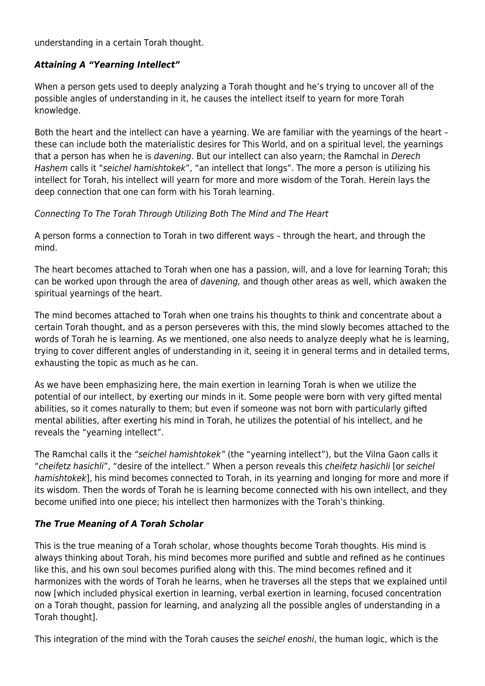understanding in a certain Torah thought.

## *Attaining A "Yearning Intellect"*

When a person gets used to deeply analyzing a Torah thought and he's trying to uncover all of the possible angles of understanding in it, he causes the intellect itself to yearn for more Torah knowledge.

Both the heart and the intellect can have a yearning. We are familiar with the yearnings of the heart – these can include both the materialistic desires for This World, and on a spiritual level, the yearnings that a person has when he is davening. But our intellect can also yearn; the Ramchal in Derech Hashem calls it "seichel hamishtokek", "an intellect that longs". The more a person is utilizing his intellect for Torah, his intellect will yearn for more and more wisdom of the Torah. Herein lays the deep connection that one can form with his Torah learning.

## Connecting To The Torah Through Utilizing Both The Mind and The Heart

A person forms a connection to Torah in two different ways – through the heart, and through the mind.

The heart becomes attached to Torah when one has a passion, will, and a love for learning Torah; this can be worked upon through the area of davening, and though other areas as well, which awaken the spiritual yearnings of the heart.

The mind becomes attached to Torah when one trains his thoughts to think and concentrate about a certain Torah thought, and as a person perseveres with this, the mind slowly becomes attached to the words of Torah he is learning. As we mentioned, one also needs to analyze deeply what he is learning, trying to cover different angles of understanding in it, seeing it in general terms and in detailed terms, exhausting the topic as much as he can.

As we have been emphasizing here, the main exertion in learning Torah is when we utilize the potential of our intellect, by exerting our minds in it. Some people were born with very gifted mental abilities, so it comes naturally to them; but even if someone was not born with particularly gifted mental abilities, after exerting his mind in Torah, he utilizes the potential of his intellect, and he reveals the "yearning intellect".

The Ramchal calls it the "seichel hamishtokek" (the "yearning intellect"), but the Vilna Gaon calls it "cheifetz hasichli", "desire of the intellect." When a person reveals this cheifetz hasichli [or seichel hamishtokek], his mind becomes connected to Torah, in its yearning and longing for more and more if its wisdom. Then the words of Torah he is learning become connected with his own intellect, and they become unified into one piece; his intellect then harmonizes with the Torah's thinking.

## *The True Meaning of A Torah Scholar*

This is the true meaning of a Torah scholar, whose thoughts become Torah thoughts. His mind is always thinking about Torah, his mind becomes more purified and subtle and refined as he continues like this, and his own soul becomes purified along with this. The mind becomes refined and it harmonizes with the words of Torah he learns, when he traverses all the steps that we explained until now [which included physical exertion in learning, verbal exertion in learning, focused concentration on a Torah thought, passion for learning, and analyzing all the possible angles of understanding in a Torah thought].

This integration of the mind with the Torah causes the seichel enoshi, the human logic, which is the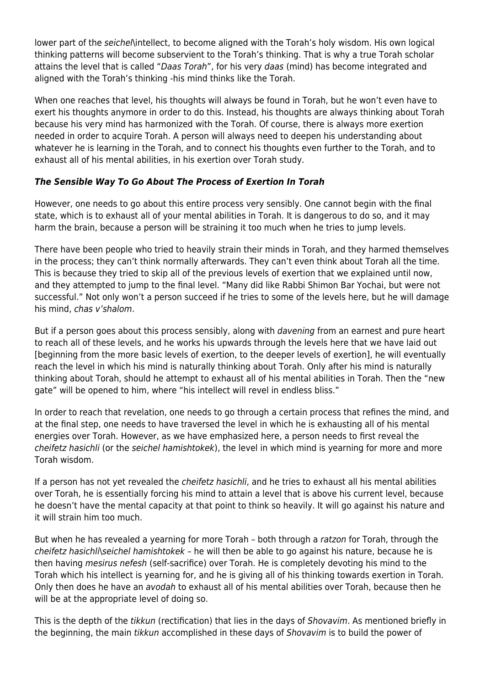lower part of the *seichelaintellect*, to become aligned with the Torah's holy wisdom. His own logical thinking patterns will become subservient to the Torah's thinking. That is why a true Torah scholar attains the level that is called "Daas Torah", for his very daas (mind) has become integrated and aligned with the Torah's thinking -his mind thinks like the Torah.

When one reaches that level, his thoughts will always be found in Torah, but he won't even have to exert his thoughts anymore in order to do this. Instead, his thoughts are always thinking about Torah because his very mind has harmonized with the Torah. Of course, there is always more exertion needed in order to acquire Torah. A person will always need to deepen his understanding about whatever he is learning in the Torah, and to connect his thoughts even further to the Torah, and to exhaust all of his mental abilities, in his exertion over Torah study.

## *The Sensible Way To Go About The Process of Exertion In Torah*

However, one needs to go about this entire process very sensibly. One cannot begin with the final state, which is to exhaust all of your mental abilities in Torah. It is dangerous to do so, and it may harm the brain, because a person will be straining it too much when he tries to jump levels.

There have been people who tried to heavily strain their minds in Torah, and they harmed themselves in the process; they can't think normally afterwards. They can't even think about Torah all the time. This is because they tried to skip all of the previous levels of exertion that we explained until now, and they attempted to jump to the final level. "Many did like Rabbi Shimon Bar Yochai, but were not successful." Not only won't a person succeed if he tries to some of the levels here, but he will damage his mind, chas v'shalom.

But if a person goes about this process sensibly, along with *davening* from an earnest and pure heart to reach all of these levels, and he works his upwards through the levels here that we have laid out [beginning from the more basic levels of exertion, to the deeper levels of exertion], he will eventually reach the level in which his mind is naturally thinking about Torah. Only after his mind is naturally thinking about Torah, should he attempt to exhaust all of his mental abilities in Torah. Then the "new gate" will be opened to him, where "his intellect will revel in endless bliss."

In order to reach that revelation, one needs to go through a certain process that refines the mind, and at the final step, one needs to have traversed the level in which he is exhausting all of his mental energies over Torah. However, as we have emphasized here, a person needs to first reveal the cheifetz hasichli (or the seichel hamishtokek), the level in which mind is yearning for more and more Torah wisdom.

If a person has not yet revealed the *cheifetz hasichli*, and he tries to exhaust all his mental abilities over Torah, he is essentially forcing his mind to attain a level that is above his current level, because he doesn't have the mental capacity at that point to think so heavily. It will go against his nature and it will strain him too much.

But when he has revealed a yearning for more Torah – both through a ratzon for Torah, through the cheifetz hasichli\seichel hamishtokek – he will then be able to go against his nature, because he is then having mesirus nefesh (self-sacrifice) over Torah. He is completely devoting his mind to the Torah which his intellect is yearning for, and he is giving all of his thinking towards exertion in Torah. Only then does he have an avodah to exhaust all of his mental abilities over Torah, because then he will be at the appropriate level of doing so.

This is the depth of the tikkun (rectification) that lies in the days of Shovavim. As mentioned briefly in the beginning, the main tikkun accomplished in these days of Shovavim is to build the power of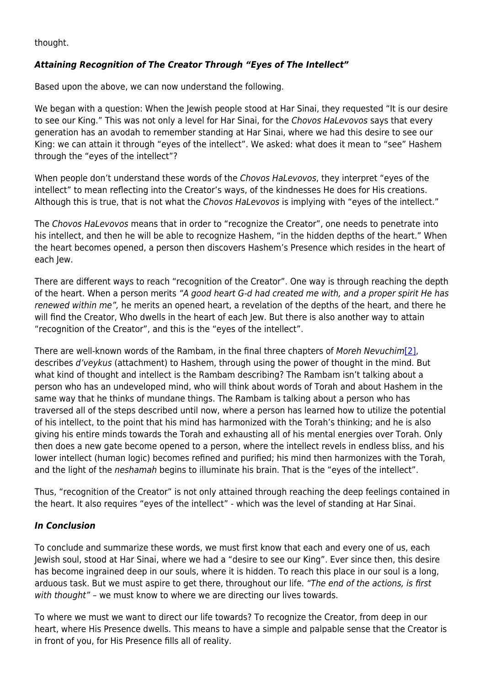thought.

# *Attaining Recognition of The Creator Through "Eyes of The Intellect"*

Based upon the above, we can now understand the following.

We began with a question: When the Jewish people stood at Har Sinai, they requested "It is our desire to see our King." This was not only a level for Har Sinai, for the Chovos HaLevovos says that every generation has an avodah to remember standing at Har Sinai, where we had this desire to see our King: we can attain it through "eyes of the intellect". We asked: what does it mean to "see" Hashem through the "eyes of the intellect"?

When people don't understand these words of the Chovos HaLevovos, they interpret "eyes of the intellect" to mean reflecting into the Creator's ways, of the kindnesses He does for His creations. Although this is true, that is not what the Chovos HaLevovos is implying with "eyes of the intellect."

The Chovos HaLevovos means that in order to "recognize the Creator", one needs to penetrate into his intellect, and then he will be able to recognize Hashem, "in the hidden depths of the heart." When the heart becomes opened, a person then discovers Hashem's Presence which resides in the heart of each Jew.

There are different ways to reach "recognition of the Creator". One way is through reaching the depth of the heart. When a person merits "A good heart G-d had created me with, and a proper spirit He has renewed within me", he merits an opened heart, a revelation of the depths of the heart, and there he will find the Creator. Who dwells in the heart of each Jew. But there is also another way to attain "recognition of the Creator", and this is the "eyes of the intellect".

There are well-known words of the Rambam, in the final three chapters of Moreh Nevuchim[\[2\],](#page--1-0) describes d'veykus (attachment) to Hashem, through using the power of thought in the mind. But what kind of thought and intellect is the Rambam describing? The Rambam isn't talking about a person who has an undeveloped mind, who will think about words of Torah and about Hashem in the same way that he thinks of mundane things. The Rambam is talking about a person who has traversed all of the steps described until now, where a person has learned how to utilize the potential of his intellect, to the point that his mind has harmonized with the Torah's thinking; and he is also giving his entire minds towards the Torah and exhausting all of his mental energies over Torah. Only then does a new gate become opened to a person, where the intellect revels in endless bliss, and his lower intellect (human logic) becomes refined and purified; his mind then harmonizes with the Torah, and the light of the neshamah begins to illuminate his brain. That is the "eyes of the intellect".

Thus, "recognition of the Creator" is not only attained through reaching the deep feelings contained in the heart. It also requires "eyes of the intellect" - which was the level of standing at Har Sinai.

## *In Conclusion*

To conclude and summarize these words, we must first know that each and every one of us, each Jewish soul, stood at Har Sinai, where we had a "desire to see our King". Ever since then, this desire has become ingrained deep in our souls, where it is hidden. To reach this place in our soul is a long, arduous task. But we must aspire to get there, throughout our life. "The end of the actions, is first with thought" – we must know to where we are directing our lives towards.

To where we must we want to direct our life towards? To recognize the Creator, from deep in our heart, where His Presence dwells. This means to have a simple and palpable sense that the Creator is in front of you, for His Presence fills all of reality.